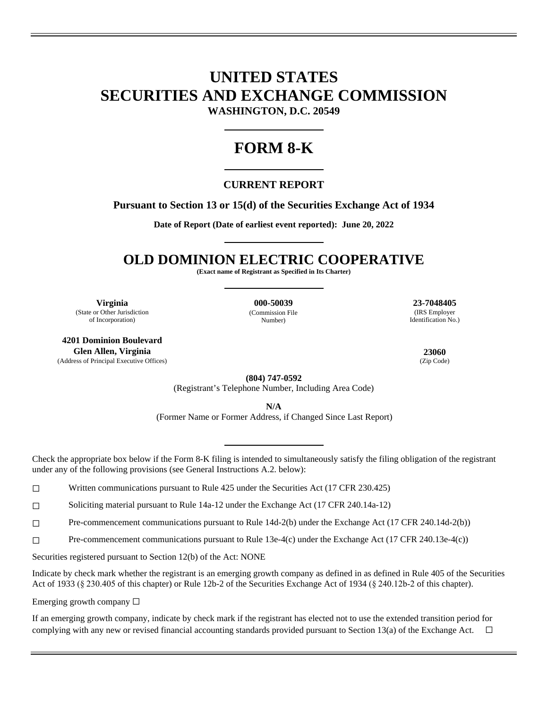# **UNITED STATES SECURITIES AND EXCHANGE COMMISSION WASHINGTON, D.C. 20549**

# **FORM 8-K**

### **CURRENT REPORT**

### **Pursuant to Section 13 or 15(d) of the Securities Exchange Act of 1934**

**Date of Report (Date of earliest event reported): June 20, 2022** 

## **OLD DOMINION ELECTRIC COOPERATIVE**

**(Exact name of Registrant as Specified in Its Charter)** 

**Virginia 000-50039 23-7048405** (State or Other Jurisdiction of Incorporation)

**4201 Dominion Boulevard Glen Allen, Virginia 23060** (Address of Principal Executive Offices) (Zip Code)

(Commission File Number)

(IRS Employer Identification No.)

**(804) 747-0592**

(Registrant's Telephone Number, Including Area Code)

**N/A** 

(Former Name or Former Address, if Changed Since Last Report)

Check the appropriate box below if the Form 8-K filing is intended to simultaneously satisfy the filing obligation of the registrant under any of the following provisions (see General Instructions A.2. below):

☐ Written communications pursuant to Rule 425 under the Securities Act (17 CFR 230.425)

☐ Soliciting material pursuant to Rule 14a-12 under the Exchange Act (17 CFR 240.14a-12)

☐ Pre-commencement communications pursuant to Rule 14d-2(b) under the Exchange Act (17 CFR 240.14d-2(b))

☐ Pre-commencement communications pursuant to Rule 13e-4(c) under the Exchange Act (17 CFR 240.13e-4(c))

Securities registered pursuant to Section 12(b) of the Act: NONE

Indicate by check mark whether the registrant is an emerging growth company as defined in as defined in Rule 405 of the Securities Act of 1933 (§ 230.405 of this chapter) or Rule 12b-2 of the Securities Exchange Act of 1934 (§ 240.12b-2 of this chapter).

Emerging growth company  $\Box$ 

If an emerging growth company, indicate by check mark if the registrant has elected not to use the extended transition period for complying with any new or revised financial accounting standards provided pursuant to Section 13(a) of the Exchange Act.  $\Box$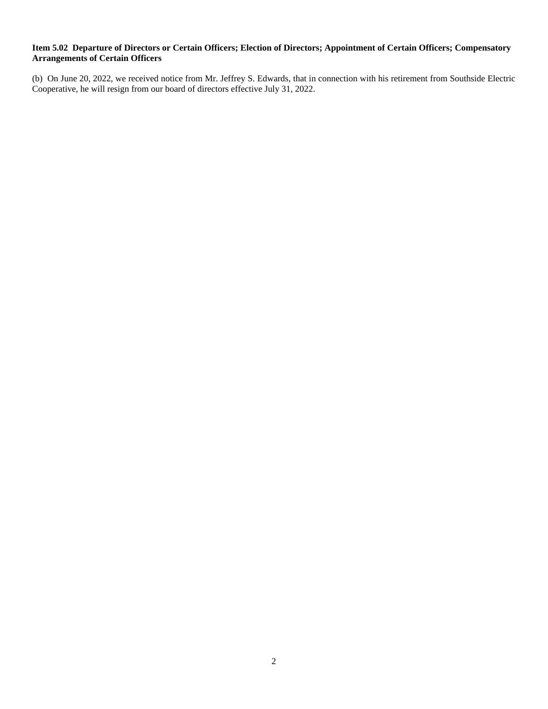#### **Item 5.02 Departure of Directors or Certain Officers; Election of Directors; Appointment of Certain Officers; Compensatory Arrangements of Certain Officers**

(b) On June 20, 2022, we received notice from Mr. Jeffrey S. Edwards, that in connection with his retirement from Southside Electric Cooperative, he will resign from our board of directors effective July 31, 2022.